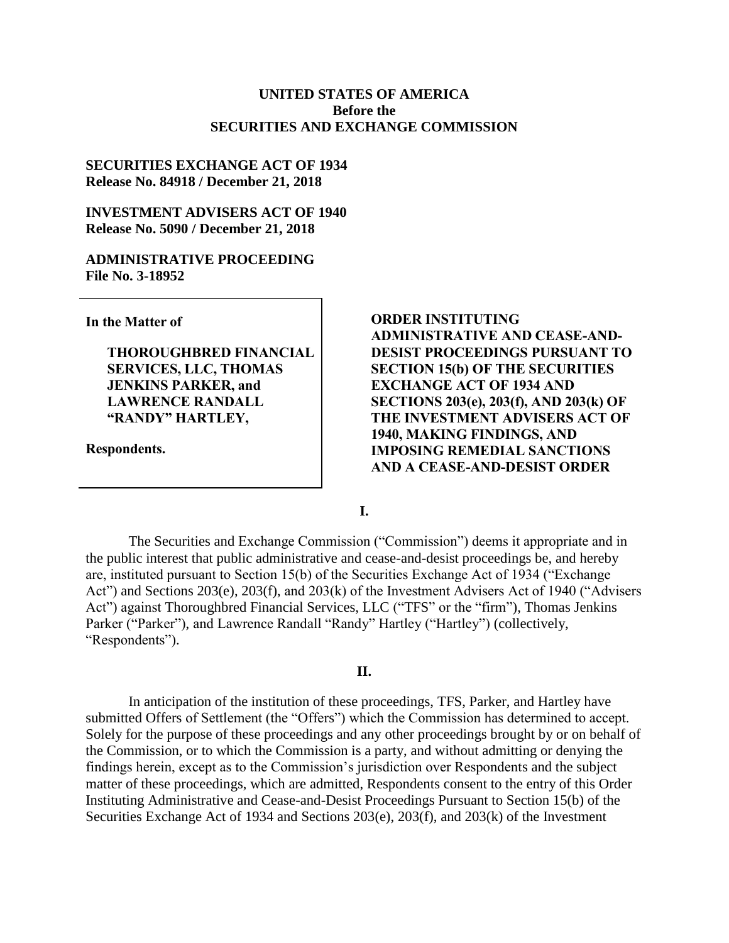## **UNITED STATES OF AMERICA Before the SECURITIES AND EXCHANGE COMMISSION**

#### **SECURITIES EXCHANGE ACT OF 1934 Release No. 84918 / December 21, 2018**

**INVESTMENT ADVISERS ACT OF 1940 Release No. 5090 / December 21, 2018**

#### **ADMINISTRATIVE PROCEEDING File No. 3-18952**

**In the Matter of**

**THOROUGHBRED FINANCIAL SERVICES, LLC, THOMAS JENKINS PARKER, and LAWRENCE RANDALL "RANDY" HARTLEY,**

**Respondents.**

**ORDER INSTITUTING ADMINISTRATIVE AND CEASE-AND-DESIST PROCEEDINGS PURSUANT TO SECTION 15(b) OF THE SECURITIES EXCHANGE ACT OF 1934 AND SECTIONS 203(e), 203(f), AND 203(k) OF THE INVESTMENT ADVISERS ACT OF 1940, MAKING FINDINGS, AND IMPOSING REMEDIAL SANCTIONS AND A CEASE-AND-DESIST ORDER**

**I.**

The Securities and Exchange Commission ("Commission") deems it appropriate and in the public interest that public administrative and cease-and-desist proceedings be, and hereby are, instituted pursuant to Section 15(b) of the Securities Exchange Act of 1934 ("Exchange Act") and Sections 203(e), 203(f), and 203(k) of the Investment Advisers Act of 1940 ("Advisers Act") against Thoroughbred Financial Services, LLC ("TFS" or the "firm"), Thomas Jenkins Parker ("Parker"), and Lawrence Randall "Randy" Hartley ("Hartley") (collectively, "Respondents").

#### **II.**

In anticipation of the institution of these proceedings, TFS, Parker, and Hartley have submitted Offers of Settlement (the "Offers") which the Commission has determined to accept. Solely for the purpose of these proceedings and any other proceedings brought by or on behalf of the Commission, or to which the Commission is a party, and without admitting or denying the findings herein, except as to the Commission's jurisdiction over Respondents and the subject matter of these proceedings, which are admitted, Respondents consent to the entry of this Order Instituting Administrative and Cease-and-Desist Proceedings Pursuant to Section 15(b) of the Securities Exchange Act of 1934 and Sections 203(e), 203(f), and 203(k) of the Investment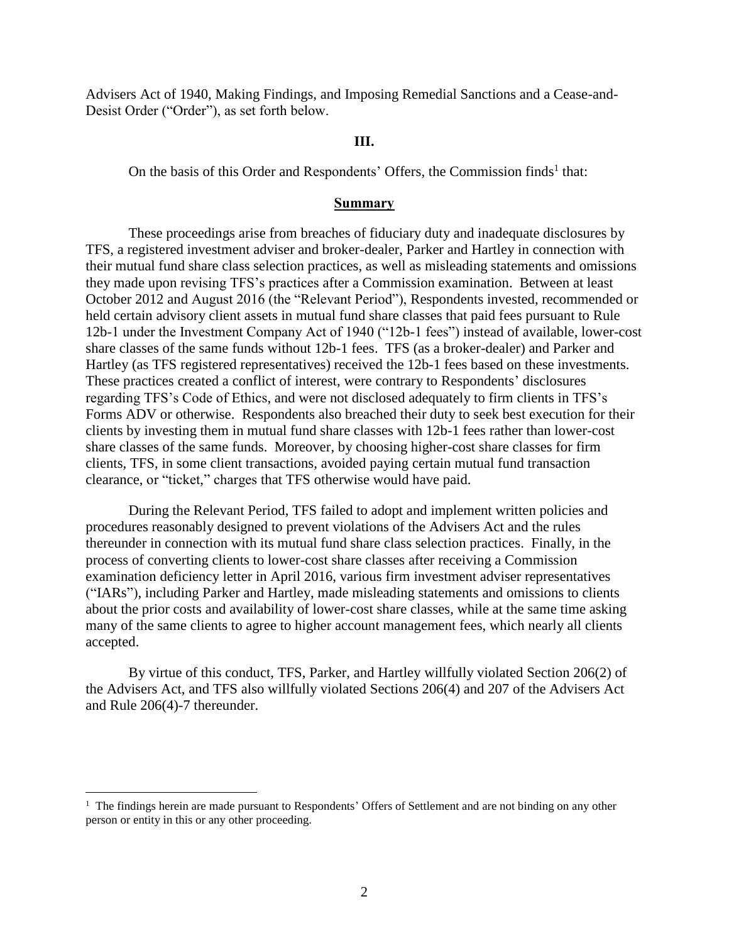Advisers Act of 1940, Making Findings, and Imposing Remedial Sanctions and a Cease-and-Desist Order ("Order"), as set forth below.

#### **III.**

On the basis of this Order and Respondents' Offers, the Commission finds<sup>1</sup> that:

#### **Summary**

These proceedings arise from breaches of fiduciary duty and inadequate disclosures by TFS, a registered investment adviser and broker-dealer, Parker and Hartley in connection with their mutual fund share class selection practices, as well as misleading statements and omissions they made upon revising TFS's practices after a Commission examination. Between at least October 2012 and August 2016 (the "Relevant Period"), Respondents invested, recommended or held certain advisory client assets in mutual fund share classes that paid fees pursuant to Rule 12b-1 under the Investment Company Act of 1940 ("12b-1 fees") instead of available, lower-cost share classes of the same funds without 12b-1 fees. TFS (as a broker-dealer) and Parker and Hartley (as TFS registered representatives) received the 12b-1 fees based on these investments. These practices created a conflict of interest, were contrary to Respondents' disclosures regarding TFS's Code of Ethics, and were not disclosed adequately to firm clients in TFS's Forms ADV or otherwise. Respondents also breached their duty to seek best execution for their clients by investing them in mutual fund share classes with 12b-1 fees rather than lower-cost share classes of the same funds. Moreover, by choosing higher-cost share classes for firm clients, TFS, in some client transactions, avoided paying certain mutual fund transaction clearance, or "ticket," charges that TFS otherwise would have paid.

During the Relevant Period, TFS failed to adopt and implement written policies and procedures reasonably designed to prevent violations of the Advisers Act and the rules thereunder in connection with its mutual fund share class selection practices. Finally, in the process of converting clients to lower-cost share classes after receiving a Commission examination deficiency letter in April 2016, various firm investment adviser representatives ("IARs"), including Parker and Hartley, made misleading statements and omissions to clients about the prior costs and availability of lower-cost share classes, while at the same time asking many of the same clients to agree to higher account management fees, which nearly all clients accepted.

By virtue of this conduct, TFS, Parker, and Hartley willfully violated Section 206(2) of the Advisers Act, and TFS also willfully violated Sections 206(4) and 207 of the Advisers Act and Rule 206(4)-7 thereunder.

<sup>&</sup>lt;sup>1</sup> The findings herein are made pursuant to Respondents' Offers of Settlement and are not binding on any other person or entity in this or any other proceeding.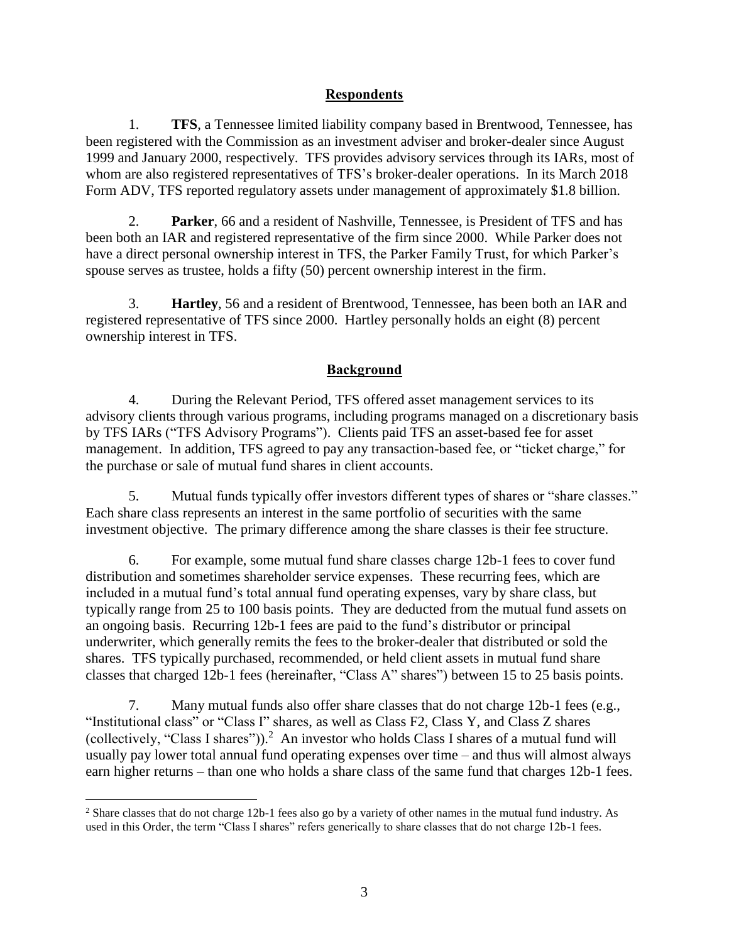## **Respondents**

1. **TFS**, a Tennessee limited liability company based in Brentwood, Tennessee, has been registered with the Commission as an investment adviser and broker-dealer since August 1999 and January 2000, respectively. TFS provides advisory services through its IARs, most of whom are also registered representatives of TFS's broker-dealer operations. In its March 2018 Form ADV, TFS reported regulatory assets under management of approximately \$1.8 billion.

2. **Parker**, 66 and a resident of Nashville, Tennessee, is President of TFS and has been both an IAR and registered representative of the firm since 2000. While Parker does not have a direct personal ownership interest in TFS, the Parker Family Trust, for which Parker's spouse serves as trustee, holds a fifty (50) percent ownership interest in the firm.

3. **Hartley**, 56 and a resident of Brentwood, Tennessee, has been both an IAR and registered representative of TFS since 2000. Hartley personally holds an eight (8) percent ownership interest in TFS.

## **Background**

4. During the Relevant Period, TFS offered asset management services to its advisory clients through various programs, including programs managed on a discretionary basis by TFS IARs ("TFS Advisory Programs"). Clients paid TFS an asset-based fee for asset management. In addition, TFS agreed to pay any transaction-based fee, or "ticket charge," for the purchase or sale of mutual fund shares in client accounts.

5. Mutual funds typically offer investors different types of shares or "share classes." Each share class represents an interest in the same portfolio of securities with the same investment objective. The primary difference among the share classes is their fee structure.

6. For example, some mutual fund share classes charge 12b-1 fees to cover fund distribution and sometimes shareholder service expenses. These recurring fees, which are included in a mutual fund's total annual fund operating expenses, vary by share class, but typically range from 25 to 100 basis points. They are deducted from the mutual fund assets on an ongoing basis. Recurring 12b-1 fees are paid to the fund's distributor or principal underwriter, which generally remits the fees to the broker-dealer that distributed or sold the shares. TFS typically purchased, recommended, or held client assets in mutual fund share classes that charged 12b-1 fees (hereinafter, "Class A" shares") between 15 to 25 basis points.

7. Many mutual funds also offer share classes that do not charge 12b-1 fees (e.g., "Institutional class" or "Class I" shares, as well as Class F2, Class Y, and Class Z shares (collectively, "Class I shares")).<sup>2</sup> An investor who holds Class I shares of a mutual fund will usually pay lower total annual fund operating expenses over time – and thus will almost always earn higher returns – than one who holds a share class of the same fund that charges 12b-1 fees.

<sup>2</sup> Share classes that do not charge 12b-1 fees also go by a variety of other names in the mutual fund industry. As used in this Order, the term "Class I shares" refers generically to share classes that do not charge 12b-1 fees.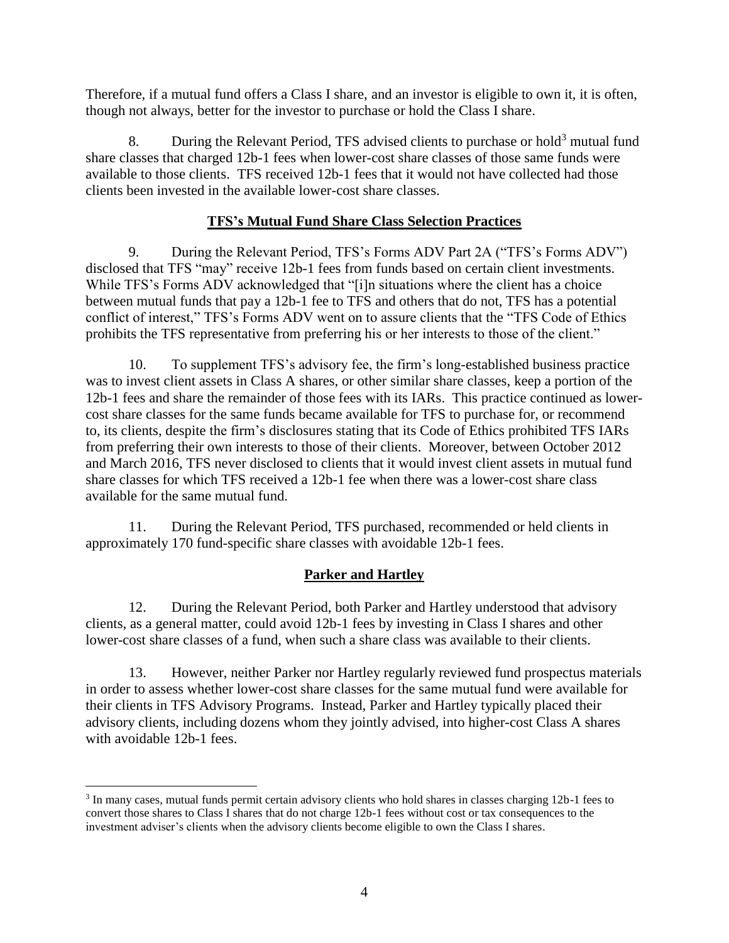Therefore, if a mutual fund offers a Class I share, and an investor is eligible to own it, it is often, though not always, better for the investor to purchase or hold the Class I share.

8. During the Relevant Period, TFS advised clients to purchase or hold<sup>3</sup> mutual fund share classes that charged 12b-1 fees when lower-cost share classes of those same funds were available to those clients. TFS received 12b-1 fees that it would not have collected had those clients been invested in the available lower-cost share classes.

## **TFS's Mutual Fund Share Class Selection Practices**

9. During the Relevant Period, TFS's Forms ADV Part 2A ("TFS's Forms ADV") disclosed that TFS "may" receive 12b-1 fees from funds based on certain client investments. While TFS's Forms ADV acknowledged that "[i]n situations where the client has a choice between mutual funds that pay a 12b-1 fee to TFS and others that do not, TFS has a potential conflict of interest," TFS's Forms ADV went on to assure clients that the "TFS Code of Ethics prohibits the TFS representative from preferring his or her interests to those of the client."

10. To supplement TFS's advisory fee, the firm's long-established business practice was to invest client assets in Class A shares, or other similar share classes, keep a portion of the 12b-1 fees and share the remainder of those fees with its IARs. This practice continued as lowercost share classes for the same funds became available for TFS to purchase for, or recommend to, its clients, despite the firm's disclosures stating that its Code of Ethics prohibited TFS IARs from preferring their own interests to those of their clients. Moreover, between October 2012 and March 2016, TFS never disclosed to clients that it would invest client assets in mutual fund share classes for which TFS received a 12b-1 fee when there was a lower-cost share class available for the same mutual fund.

11. During the Relevant Period, TFS purchased, recommended or held clients in approximately 170 fund-specific share classes with avoidable 12b-1 fees.

## **Parker and Hartley**

12. During the Relevant Period, both Parker and Hartley understood that advisory clients, as a general matter, could avoid 12b-1 fees by investing in Class I shares and other lower-cost share classes of a fund, when such a share class was available to their clients.

13. However, neither Parker nor Hartley regularly reviewed fund prospectus materials in order to assess whether lower-cost share classes for the same mutual fund were available for their clients in TFS Advisory Programs. Instead, Parker and Hartley typically placed their advisory clients, including dozens whom they jointly advised, into higher-cost Class A shares with avoidable 12b-1 fees.

<sup>&</sup>lt;sup>3</sup> In many cases, mutual funds permit certain advisory clients who hold shares in classes charging 12b-1 fees to convert those shares to Class I shares that do not charge 12b-1 fees without cost or tax consequences to the investment adviser's clients when the advisory clients become eligible to own the Class I shares.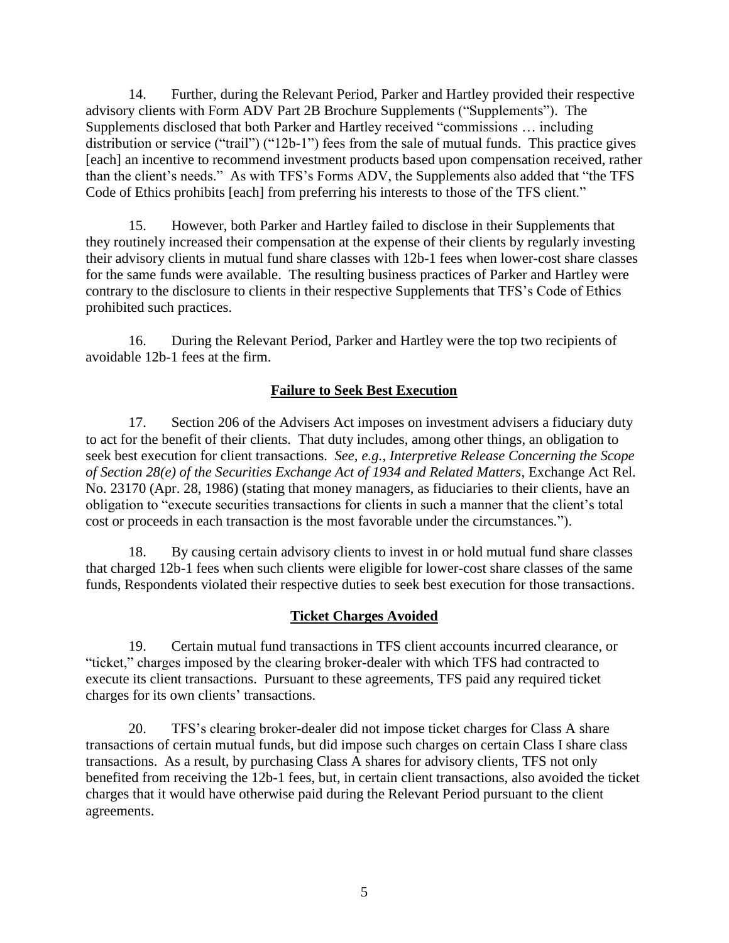14. Further, during the Relevant Period, Parker and Hartley provided their respective advisory clients with Form ADV Part 2B Brochure Supplements ("Supplements"). The Supplements disclosed that both Parker and Hartley received "commissions … including distribution or service ("trail") ("12b-1") fees from the sale of mutual funds. This practice gives [each] an incentive to recommend investment products based upon compensation received, rather than the client's needs." As with TFS's Forms ADV, the Supplements also added that "the TFS Code of Ethics prohibits [each] from preferring his interests to those of the TFS client."

15. However, both Parker and Hartley failed to disclose in their Supplements that they routinely increased their compensation at the expense of their clients by regularly investing their advisory clients in mutual fund share classes with 12b-1 fees when lower-cost share classes for the same funds were available. The resulting business practices of Parker and Hartley were contrary to the disclosure to clients in their respective Supplements that TFS's Code of Ethics prohibited such practices.

16. During the Relevant Period, Parker and Hartley were the top two recipients of avoidable 12b-1 fees at the firm.

## **Failure to Seek Best Execution**

17. Section 206 of the Advisers Act imposes on investment advisers a fiduciary duty to act for the benefit of their clients. That duty includes, among other things, an obligation to seek best execution for client transactions. *See, e.g.*, *Interpretive Release Concerning the Scope of Section 28(e) of the Securities Exchange Act of 1934 and Related Matters*, Exchange Act Rel. No. 23170 (Apr. 28, 1986) (stating that money managers, as fiduciaries to their clients, have an obligation to "execute securities transactions for clients in such a manner that the client's total cost or proceeds in each transaction is the most favorable under the circumstances*.*").

18. By causing certain advisory clients to invest in or hold mutual fund share classes that charged 12b-1 fees when such clients were eligible for lower-cost share classes of the same funds, Respondents violated their respective duties to seek best execution for those transactions.

## **Ticket Charges Avoided**

19. Certain mutual fund transactions in TFS client accounts incurred clearance, or "ticket," charges imposed by the clearing broker-dealer with which TFS had contracted to execute its client transactions. Pursuant to these agreements, TFS paid any required ticket charges for its own clients' transactions.

20. TFS's clearing broker-dealer did not impose ticket charges for Class A share transactions of certain mutual funds, but did impose such charges on certain Class I share class transactions. As a result, by purchasing Class A shares for advisory clients, TFS not only benefited from receiving the 12b-1 fees, but, in certain client transactions, also avoided the ticket charges that it would have otherwise paid during the Relevant Period pursuant to the client agreements.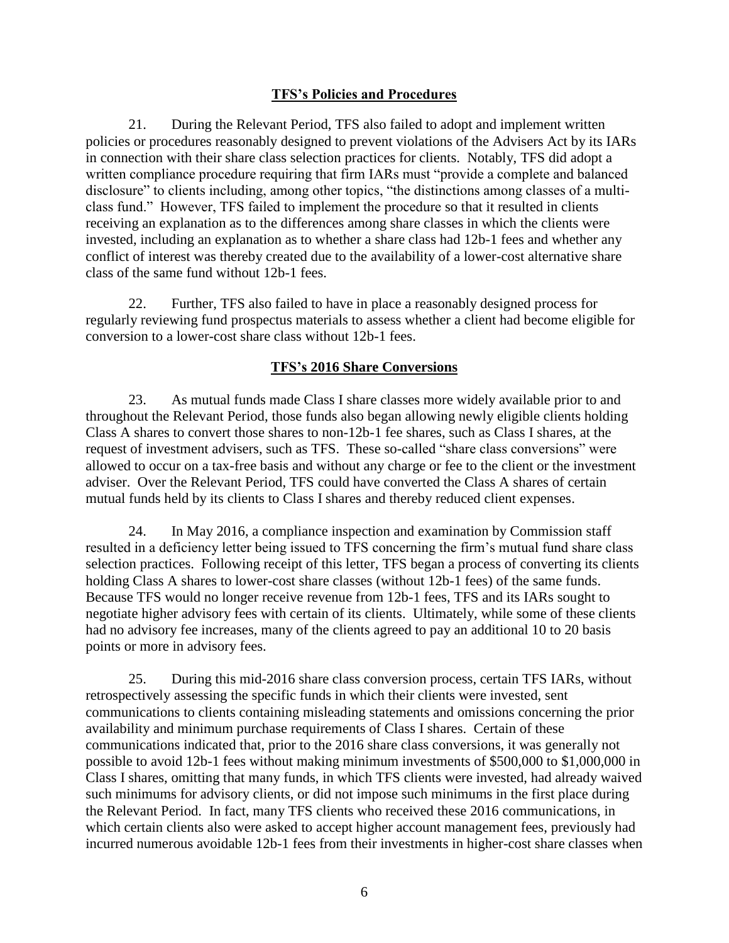## **TFS's Policies and Procedures**

21. During the Relevant Period, TFS also failed to adopt and implement written policies or procedures reasonably designed to prevent violations of the Advisers Act by its IARs in connection with their share class selection practices for clients. Notably, TFS did adopt a written compliance procedure requiring that firm IARs must "provide a complete and balanced disclosure" to clients including, among other topics, "the distinctions among classes of a multiclass fund." However, TFS failed to implement the procedure so that it resulted in clients receiving an explanation as to the differences among share classes in which the clients were invested, including an explanation as to whether a share class had 12b-1 fees and whether any conflict of interest was thereby created due to the availability of a lower-cost alternative share class of the same fund without 12b-1 fees.

22. Further, TFS also failed to have in place a reasonably designed process for regularly reviewing fund prospectus materials to assess whether a client had become eligible for conversion to a lower-cost share class without 12b-1 fees.

## **TFS's 2016 Share Conversions**

23. As mutual funds made Class I share classes more widely available prior to and throughout the Relevant Period, those funds also began allowing newly eligible clients holding Class A shares to convert those shares to non-12b-1 fee shares, such as Class I shares, at the request of investment advisers, such as TFS. These so-called "share class conversions" were allowed to occur on a tax-free basis and without any charge or fee to the client or the investment adviser. Over the Relevant Period, TFS could have converted the Class A shares of certain mutual funds held by its clients to Class I shares and thereby reduced client expenses.

24. In May 2016, a compliance inspection and examination by Commission staff resulted in a deficiency letter being issued to TFS concerning the firm's mutual fund share class selection practices. Following receipt of this letter, TFS began a process of converting its clients holding Class A shares to lower-cost share classes (without 12b-1 fees) of the same funds. Because TFS would no longer receive revenue from 12b-1 fees, TFS and its IARs sought to negotiate higher advisory fees with certain of its clients. Ultimately, while some of these clients had no advisory fee increases, many of the clients agreed to pay an additional 10 to 20 basis points or more in advisory fees.

25. During this mid-2016 share class conversion process, certain TFS IARs, without retrospectively assessing the specific funds in which their clients were invested, sent communications to clients containing misleading statements and omissions concerning the prior availability and minimum purchase requirements of Class I shares. Certain of these communications indicated that, prior to the 2016 share class conversions, it was generally not possible to avoid 12b-1 fees without making minimum investments of \$500,000 to \$1,000,000 in Class I shares, omitting that many funds, in which TFS clients were invested, had already waived such minimums for advisory clients, or did not impose such minimums in the first place during the Relevant Period. In fact, many TFS clients who received these 2016 communications, in which certain clients also were asked to accept higher account management fees, previously had incurred numerous avoidable 12b-1 fees from their investments in higher-cost share classes when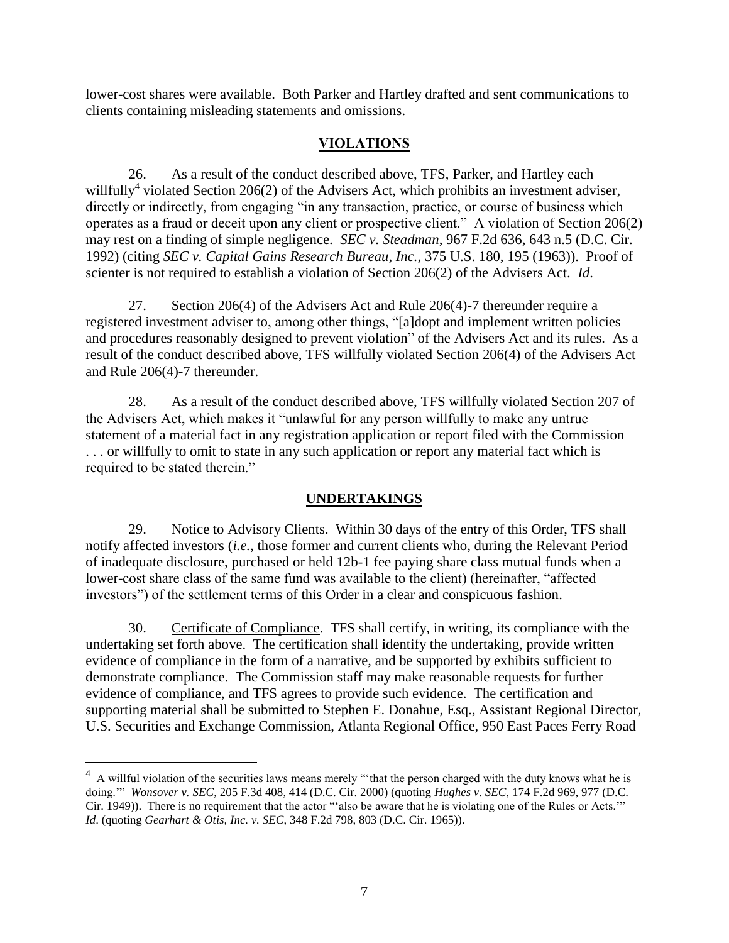lower-cost shares were available. Both Parker and Hartley drafted and sent communications to clients containing misleading statements and omissions.

## **VIOLATIONS**

26. As a result of the conduct described above, TFS, Parker, and Hartley each willfully<sup>4</sup> violated Section 206(2) of the Advisers Act, which prohibits an investment adviser, directly or indirectly, from engaging "in any transaction, practice, or course of business which operates as a fraud or deceit upon any client or prospective client." A violation of Section 206(2) may rest on a finding of simple negligence. *SEC v. Steadman*, 967 F.2d 636, 643 n.5 (D.C. Cir. 1992) (citing *SEC v. Capital Gains Research Bureau, Inc.*, 375 U.S. 180, 195 (1963)). Proof of scienter is not required to establish a violation of Section 206(2) of the Advisers Act. *Id*.

27. Section 206(4) of the Advisers Act and Rule 206(4)-7 thereunder require a registered investment adviser to, among other things, "[a]dopt and implement written policies and procedures reasonably designed to prevent violation" of the Advisers Act and its rules. As a result of the conduct described above, TFS willfully violated Section 206(4) of the Advisers Act and Rule 206(4)-7 thereunder.

28. As a result of the conduct described above, TFS willfully violated Section 207 of the Advisers Act, which makes it "unlawful for any person willfully to make any untrue statement of a material fact in any registration application or report filed with the Commission . . . or willfully to omit to state in any such application or report any material fact which is required to be stated therein."

# **UNDERTAKINGS**

29. Notice to Advisory Clients. Within 30 days of the entry of this Order, TFS shall notify affected investors (*i.e.*, those former and current clients who, during the Relevant Period of inadequate disclosure, purchased or held 12b-1 fee paying share class mutual funds when a lower-cost share class of the same fund was available to the client) (hereinafter, "affected investors") of the settlement terms of this Order in a clear and conspicuous fashion.

30. Certificate of Compliance. TFS shall certify, in writing, its compliance with the undertaking set forth above. The certification shall identify the undertaking, provide written evidence of compliance in the form of a narrative, and be supported by exhibits sufficient to demonstrate compliance. The Commission staff may make reasonable requests for further evidence of compliance, and TFS agrees to provide such evidence. The certification and supporting material shall be submitted to Stephen E. Donahue, Esq., Assistant Regional Director, U.S. Securities and Exchange Commission, Atlanta Regional Office, 950 East Paces Ferry Road

 $4\,$  A willful violation of the securities laws means merely "that the person charged with the duty knows what he is doing.'" *Wonsover v. SEC*, 205 F.3d 408, 414 (D.C. Cir. 2000) (quoting *Hughes v. SEC*, 174 F.2d 969, 977 (D.C. Cir. 1949)). There is no requirement that the actor "'also be aware that he is violating one of the Rules or Acts.'" *Id*. (quoting *Gearhart & Otis, Inc. v. SEC*, 348 F.2d 798, 803 (D.C. Cir. 1965)).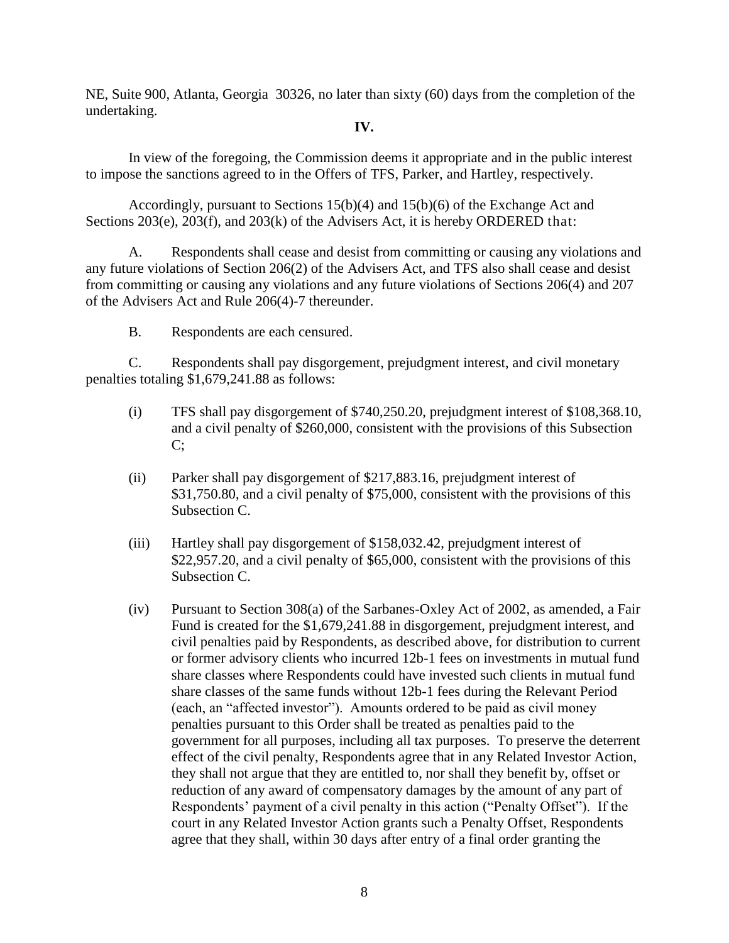NE, Suite 900, Atlanta, Georgia 30326, no later than sixty (60) days from the completion of the undertaking.

### **IV.**

In view of the foregoing, the Commission deems it appropriate and in the public interest to impose the sanctions agreed to in the Offers of TFS, Parker, and Hartley, respectively.

Accordingly, pursuant to Sections 15(b)(4) and 15(b)(6) of the Exchange Act and Sections 203(e), 203(f), and 203(k) of the Advisers Act, it is hereby ORDERED that:

A. Respondents shall cease and desist from committing or causing any violations and any future violations of Section 206(2) of the Advisers Act, and TFS also shall cease and desist from committing or causing any violations and any future violations of Sections 206(4) and 207 of the Advisers Act and Rule 206(4)-7 thereunder.

B. Respondents are each censured.

C. Respondents shall pay disgorgement, prejudgment interest, and civil monetary penalties totaling \$1,679,241.88 as follows:

- (i) TFS shall pay disgorgement of \$740,250.20, prejudgment interest of \$108,368.10, and a civil penalty of \$260,000, consistent with the provisions of this Subsection C;
- (ii) Parker shall pay disgorgement of \$217,883.16, prejudgment interest of \$31,750.80, and a civil penalty of \$75,000, consistent with the provisions of this Subsection C.
- (iii) Hartley shall pay disgorgement of \$158,032.42, prejudgment interest of \$22,957.20, and a civil penalty of \$65,000, consistent with the provisions of this Subsection C.
- (iv) Pursuant to Section 308(a) of the Sarbanes-Oxley Act of 2002, as amended, a Fair Fund is created for the \$1,679,241.88 in disgorgement, prejudgment interest, and civil penalties paid by Respondents, as described above, for distribution to current or former advisory clients who incurred 12b-1 fees on investments in mutual fund share classes where Respondents could have invested such clients in mutual fund share classes of the same funds without 12b-1 fees during the Relevant Period (each, an "affected investor"). Amounts ordered to be paid as civil money penalties pursuant to this Order shall be treated as penalties paid to the government for all purposes, including all tax purposes. To preserve the deterrent effect of the civil penalty, Respondents agree that in any Related Investor Action, they shall not argue that they are entitled to, nor shall they benefit by, offset or reduction of any award of compensatory damages by the amount of any part of Respondents' payment of a civil penalty in this action ("Penalty Offset"). If the court in any Related Investor Action grants such a Penalty Offset, Respondents agree that they shall, within 30 days after entry of a final order granting the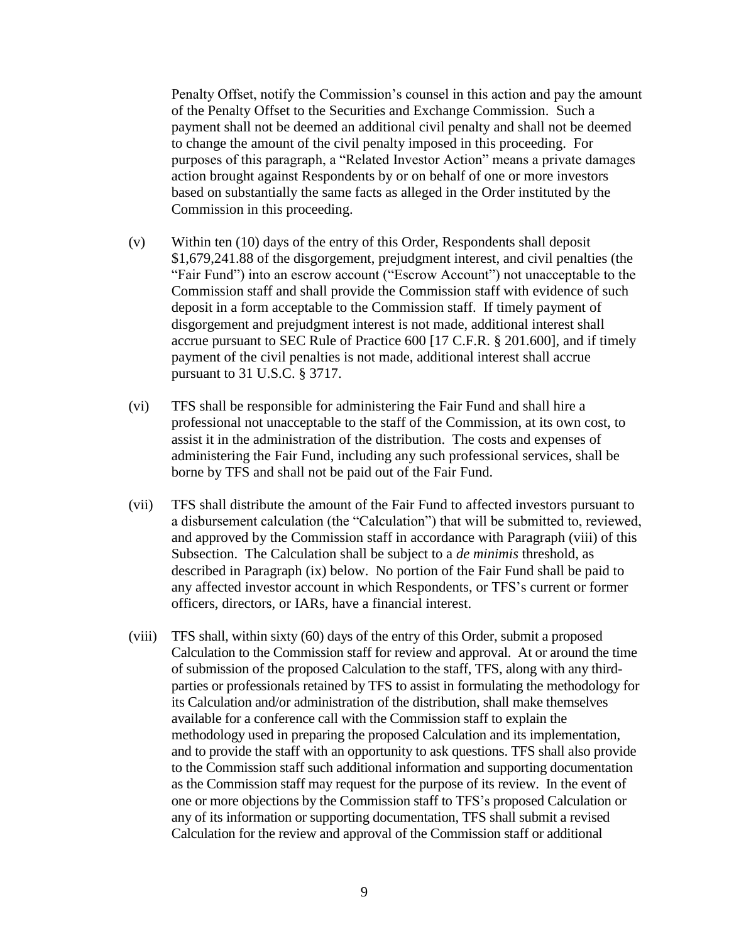Penalty Offset, notify the Commission's counsel in this action and pay the amount of the Penalty Offset to the Securities and Exchange Commission. Such a payment shall not be deemed an additional civil penalty and shall not be deemed to change the amount of the civil penalty imposed in this proceeding. For purposes of this paragraph, a "Related Investor Action" means a private damages action brought against Respondents by or on behalf of one or more investors based on substantially the same facts as alleged in the Order instituted by the Commission in this proceeding.

- (v) Within ten (10) days of the entry of this Order, Respondents shall deposit \$1,679,241.88 of the disgorgement, prejudgment interest, and civil penalties (the "Fair Fund") into an escrow account ("Escrow Account") not unacceptable to the Commission staff and shall provide the Commission staff with evidence of such deposit in a form acceptable to the Commission staff. If timely payment of disgorgement and prejudgment interest is not made, additional interest shall accrue pursuant to SEC Rule of Practice 600 [17 C.F.R. § 201.600], and if timely payment of the civil penalties is not made, additional interest shall accrue pursuant to 31 U.S.C. § 3717.
- (vi) TFS shall be responsible for administering the Fair Fund and shall hire a professional not unacceptable to the staff of the Commission, at its own cost, to assist it in the administration of the distribution. The costs and expenses of administering the Fair Fund, including any such professional services, shall be borne by TFS and shall not be paid out of the Fair Fund.
- (vii) TFS shall distribute the amount of the Fair Fund to affected investors pursuant to a disbursement calculation (the "Calculation") that will be submitted to, reviewed, and approved by the Commission staff in accordance with Paragraph (viii) of this Subsection. The Calculation shall be subject to a *de minimis* threshold, as described in Paragraph (ix) below. No portion of the Fair Fund shall be paid to any affected investor account in which Respondents, or TFS's current or former officers, directors, or IARs, have a financial interest.
- (viii) TFS shall, within sixty (60) days of the entry of this Order, submit a proposed Calculation to the Commission staff for review and approval. At or around the time of submission of the proposed Calculation to the staff, TFS, along with any thirdparties or professionals retained by TFS to assist in formulating the methodology for its Calculation and/or administration of the distribution, shall make themselves available for a conference call with the Commission staff to explain the methodology used in preparing the proposed Calculation and its implementation, and to provide the staff with an opportunity to ask questions. TFS shall also provide to the Commission staff such additional information and supporting documentation as the Commission staff may request for the purpose of its review. In the event of one or more objections by the Commission staff to TFS's proposed Calculation or any of its information or supporting documentation, TFS shall submit a revised Calculation for the review and approval of the Commission staff or additional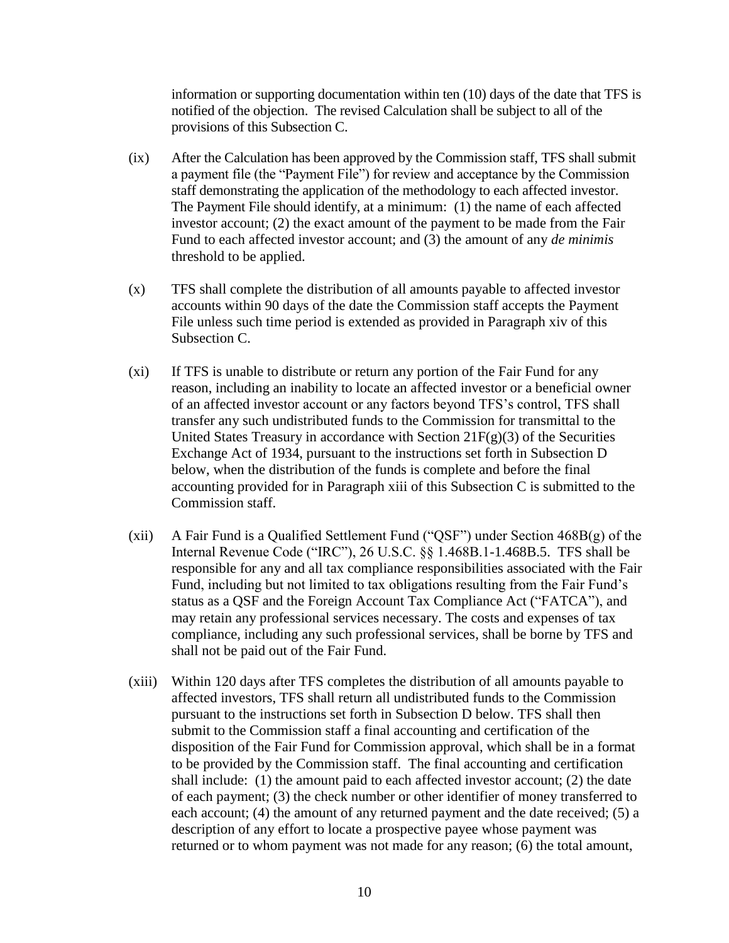information or supporting documentation within ten (10) days of the date that TFS is notified of the objection. The revised Calculation shall be subject to all of the provisions of this Subsection C.

- (ix) After the Calculation has been approved by the Commission staff, TFS shall submit a payment file (the "Payment File") for review and acceptance by the Commission staff demonstrating the application of the methodology to each affected investor. The Payment File should identify, at a minimum: (1) the name of each affected investor account; (2) the exact amount of the payment to be made from the Fair Fund to each affected investor account; and (3) the amount of any *de minimis* threshold to be applied.
- (x) TFS shall complete the distribution of all amounts payable to affected investor accounts within 90 days of the date the Commission staff accepts the Payment File unless such time period is extended as provided in Paragraph xiv of this Subsection C.
- (xi) If TFS is unable to distribute or return any portion of the Fair Fund for any reason, including an inability to locate an affected investor or a beneficial owner of an affected investor account or any factors beyond TFS's control, TFS shall transfer any such undistributed funds to the Commission for transmittal to the United States Treasury in accordance with Section  $21F(g)(3)$  of the Securities Exchange Act of 1934, pursuant to the instructions set forth in Subsection D below, when the distribution of the funds is complete and before the final accounting provided for in Paragraph xiii of this Subsection C is submitted to the Commission staff.
- (xii) A Fair Fund is a Qualified Settlement Fund ("QSF") under Section 468B(g) of the Internal Revenue Code ("IRC"), 26 U.S.C. §§ 1.468B.1-1.468B.5. TFS shall be responsible for any and all tax compliance responsibilities associated with the Fair Fund, including but not limited to tax obligations resulting from the Fair Fund's status as a QSF and the Foreign Account Tax Compliance Act ("FATCA"), and may retain any professional services necessary. The costs and expenses of tax compliance, including any such professional services, shall be borne by TFS and shall not be paid out of the Fair Fund.
- (xiii) Within 120 days after TFS completes the distribution of all amounts payable to affected investors, TFS shall return all undistributed funds to the Commission pursuant to the instructions set forth in Subsection D below. TFS shall then submit to the Commission staff a final accounting and certification of the disposition of the Fair Fund for Commission approval, which shall be in a format to be provided by the Commission staff. The final accounting and certification shall include: (1) the amount paid to each affected investor account; (2) the date of each payment; (3) the check number or other identifier of money transferred to each account; (4) the amount of any returned payment and the date received; (5) a description of any effort to locate a prospective payee whose payment was returned or to whom payment was not made for any reason; (6) the total amount,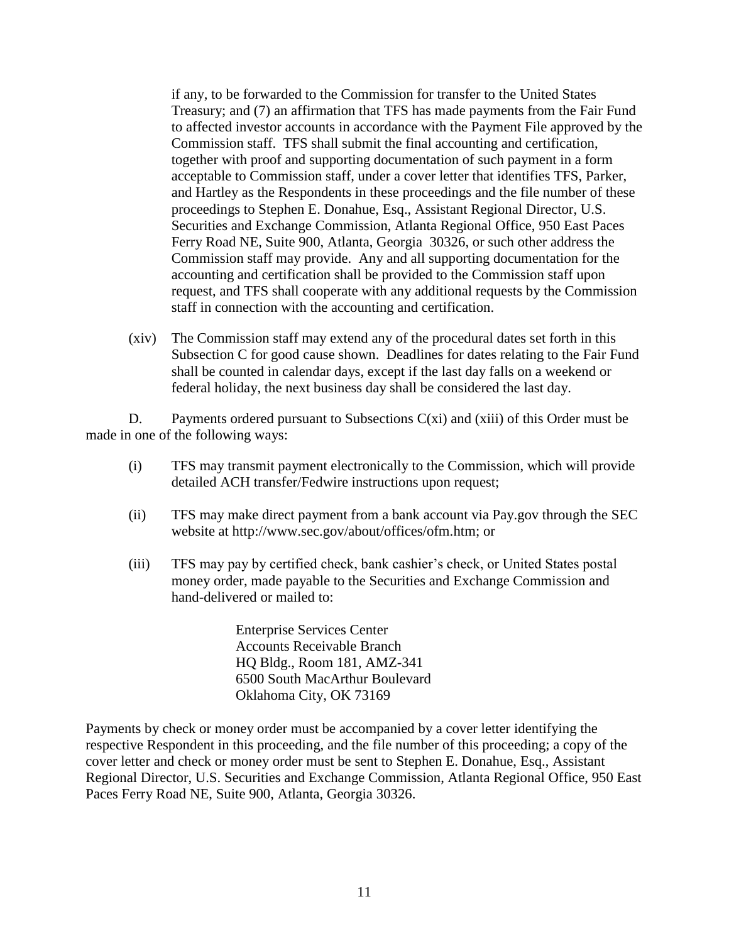if any, to be forwarded to the Commission for transfer to the United States Treasury; and (7) an affirmation that TFS has made payments from the Fair Fund to affected investor accounts in accordance with the Payment File approved by the Commission staff. TFS shall submit the final accounting and certification, together with proof and supporting documentation of such payment in a form acceptable to Commission staff, under a cover letter that identifies TFS, Parker, and Hartley as the Respondents in these proceedings and the file number of these proceedings to Stephen E. Donahue, Esq., Assistant Regional Director, U.S. Securities and Exchange Commission, Atlanta Regional Office, 950 East Paces Ferry Road NE, Suite 900, Atlanta, Georgia 30326, or such other address the Commission staff may provide. Any and all supporting documentation for the accounting and certification shall be provided to the Commission staff upon request, and TFS shall cooperate with any additional requests by the Commission staff in connection with the accounting and certification.

(xiv) The Commission staff may extend any of the procedural dates set forth in this Subsection C for good cause shown. Deadlines for dates relating to the Fair Fund shall be counted in calendar days, except if the last day falls on a weekend or federal holiday, the next business day shall be considered the last day.

D. Payments ordered pursuant to Subsections  $C(x_i)$  and  $(xiii)$  of this Order must be made in one of the following ways:

- (i) TFS may transmit payment electronically to the Commission, which will provide detailed ACH transfer/Fedwire instructions upon request;
- (ii) TFS may make direct payment from a bank account via Pay.gov through the SEC website at http://www.sec.gov/about/offices/ofm.htm; or
- (iii) TFS may pay by certified check, bank cashier's check, or United States postal money order, made payable to the Securities and Exchange Commission and hand-delivered or mailed to:

Enterprise Services Center Accounts Receivable Branch HQ Bldg., Room 181, AMZ-341 6500 South MacArthur Boulevard Oklahoma City, OK 73169

Payments by check or money order must be accompanied by a cover letter identifying the respective Respondent in this proceeding, and the file number of this proceeding; a copy of the cover letter and check or money order must be sent to Stephen E. Donahue, Esq., Assistant Regional Director, U.S. Securities and Exchange Commission, Atlanta Regional Office, 950 East Paces Ferry Road NE, Suite 900, Atlanta, Georgia 30326.